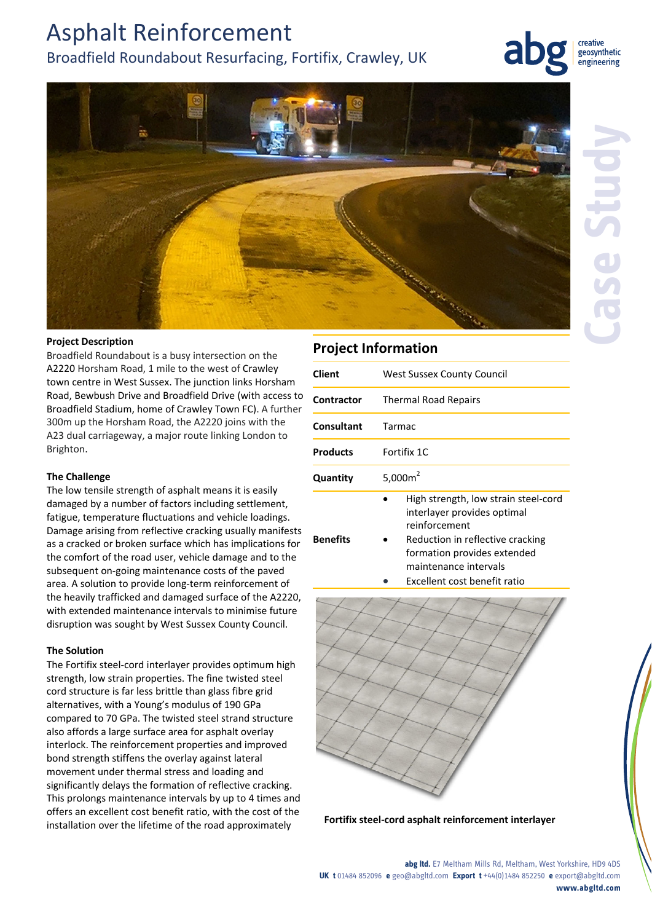## Asphalt Reinforcement Broadfield Roundabout Resurfacing, Fortifix, Crawley, UK

creative geosynthetic engineering



#### **Project Description**

Broadfield Roundabout is a busy intersection on the A2220 Horsham Road, 1 mile to the west of Crawley town centre in West Sussex. The junction links Horsham Road, Bewbush Drive and Broadfield Drive (with access to Broadfield Stadium, home of Crawley Town FC). A further 300m up the Horsham Road, the A2220 joins with the A23 dual carriageway, a major route linking London to Brighton.

#### **The Challenge**

The low tensile strength of asphalt means it is easily damaged by a number of factors including settlement, fatigue, temperature fluctuations and vehicle loadings. Damage arising from reflective cracking usually manifests as a cracked or broken surface which has implications for the comfort of the road user, vehicle damage and to the subsequent on‐going maintenance costs of the paved area. A solution to provide long‐term reinforcement of the heavily trafficked and damaged surface of the A2220, with extended maintenance intervals to minimise future disruption was sought by West Sussex County Council.

#### **The Solution**

The Fortifix steel‐cord interlayer provides optimum high strength, low strain properties. The fine twisted steel cord structure is far less brittle than glass fibre grid alternatives, with a Young's modulus of 190 GPa compared to 70 GPa. The twisted steel strand structure also affords a large surface area for asphalt overlay interlock. The reinforcement properties and improved bond strength stiffens the overlay against lateral movement under thermal stress and loading and significantly delays the formation of reflective cracking. This prolongs maintenance intervals by up to 4 times and offers an excellent cost benefit ratio, with the cost of the installation over the lifetime of the road approximately

### **Project Information**

| <b>Client</b>     | <b>West Sussex County Council</b>                                                                                                                                                                                |
|-------------------|------------------------------------------------------------------------------------------------------------------------------------------------------------------------------------------------------------------|
| <b>Contractor</b> | <b>Thermal Road Repairs</b>                                                                                                                                                                                      |
| Consultant        | Tarmac                                                                                                                                                                                                           |
| <b>Products</b>   | Fortifix 1C                                                                                                                                                                                                      |
| Quantity          | 5,000 $m2$                                                                                                                                                                                                       |
| <b>Benefits</b>   | High strength, low strain steel-cord<br>interlayer provides optimal<br>reinforcement<br>Reduction in reflective cracking<br>formation provides extended<br>maintenance intervals<br>Excellent cost benefit ratio |





**abg ltd.** E7 Meltham Mills Rd, Meltham, West Yorkshire, HD9 4DS **UK t** 01484 852096 **e** geo@abgltd.com **Export t** +44(0)1484 852250 **e** export@abgltd.com **www.abgltd.com**